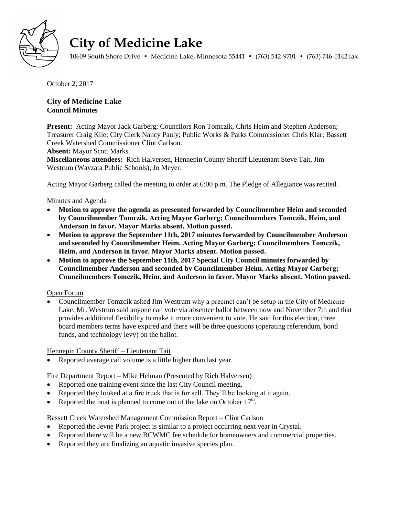

# **City of Medicine Lake**

10609 South Shore Drive • Medicine Lake, Minnesota 55441 • (763) 542-9701 • (763) 746-0142 fax

October 2, 2017

**City of Medicine Lake Council Minutes** 

**Present:** Acting Mayor Jack Garberg; Councilors Ron Tomczik, Chris Heim and Stephen Anderson; Treasurer Craig Kile; City Clerk Nancy Pauly; Public Works & Parks Commissioner Chris Klar; Bassett Creek Watershed Commissioner Clint Carlson.

**Absent:** Mayor Scott Marks.

**Miscellaneous attendees:** Rich Halversen, Hennepin County Sheriff Lieutenant Steve Tait, Jim Westrum (Wayzata Public Schools), Jo Meyer.

Acting Mayor Garberg called the meeting to order at 6:00 p.m. The Pledge of Allegiance was recited.

#### Minutes and Agenda

- **Motion to approve the agenda as presented forwarded by Councilmember Heim and seconded by Councilmember Tomczik. Acting Mayor Garberg; Councilmembers Tomczik, Heim, and Anderson in favor. Mayor Marks absent. Motion passed.**
- **Motion to approve the September 11th, 2017 minutes forwarded by Councilmember Anderson and seconded by Councilmember Heim. Acting Mayor Garberg; Councilmembers Tomczik, Heim, and Anderson in favor. Mayor Marks absent. Motion passed.**
- **Motion to approve the September 11th, 2017 Special City Council minutes forwarded by Councilmember Anderson and seconded by Councilmember Heim. Acting Mayor Garberg; Councilmembers Tomczik, Heim, and Anderson in favor. Mayor Marks absent. Motion passed.**

#### Open Forum

 Councilmember Tomzcik asked Jim Westrum why a precinct can't be setup in the City of Medicine Lake. Mr. Westrum said anyone can vote via absentee ballot between now and November 7th and that provides additional flexibility to make it more convenient to vote. He said for this election, three board members terms have expired and there will be three questions (operating referendum, bond funds, and technology levy) on the ballot.

Hennepin County Sheriff – Lieutenant Tait

Reported average call volume is a little higher than last year.

Fire Department Report – Mike Helman (Presented by Rich Halversen)

- Reported one training event since the last City Council meeting.
- Reported they looked at a fire truck that is for sell. They'll be looking at it again.
- Reported the boat is planned to come out of the lake on October  $17<sup>th</sup>$ .

Bassett Creek Watershed Management Commission Report – Clint Carlson

- Reported the Jevne Park project is similar to a project occurring next year in Crystal.
- Reported there will be a new BCWMC fee schedule for homeowners and commercial properties.
- Reported they are finalizing an aquatic invasive species plan.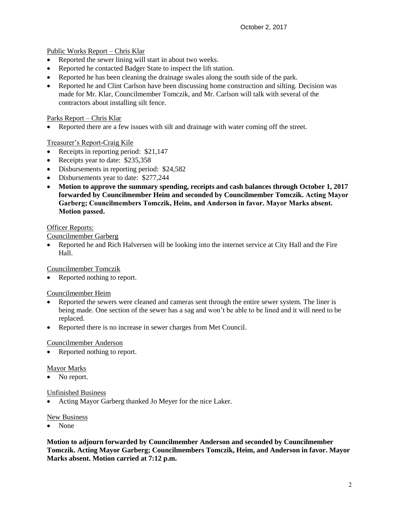Public Works Report – Chris Klar

- Reported the sewer lining will start in about two weeks.
- Reported he contacted Badger State to inspect the lift station.
- Reported he has been cleaning the drainage swales along the south side of the park.
- Reported he and Clint Carlson have been discussing home construction and silting. Decision was made for Mr. Klar, Councilmember Tomczik, and Mr. Carlson will talk with several of the contractors about installing silt fence.

# Parks Report – Chris Klar

Reported there are a few issues with silt and drainage with water coming off the street.

# Treasurer's Report-Craig Kile

- Receipts in reporting period: \$21,147
- Receipts year to date: \$235,358
- Disbursements in reporting period: \$24,582
- Disbursements year to date: \$277,244
- **Motion to approve the summary spending, receipts and cash balances through October 1, 2017 forwarded by Councilmember Heim and seconded by Councilmember Tomczik. Acting Mayor Garberg; Councilmembers Tomczik, Heim, and Anderson in favor. Mayor Marks absent. Motion passed.**

# Officer Reports:

Councilmember Garberg

 Reported he and Rich Halversen will be looking into the internet service at City Hall and the Fire Hall.

Councilmember Tomczik

Reported nothing to report.

# Councilmember Heim

- Reported the sewers were cleaned and cameras sent through the entire sewer system. The liner is being made. One section of the sewer has a sag and won't be able to be lined and it will need to be replaced.
- Reported there is no increase in sewer charges from Met Council.

# Councilmember Anderson

• Reported nothing to report.

#### Mayor Marks

No report.

#### Unfinished Business

Acting Mayor Garberg thanked Jo Meyer for the nice Laker.

#### New Business

• None

**Motion to adjourn forwarded by Councilmember Anderson and seconded by Councilmember Tomczik. Acting Mayor Garberg; Councilmembers Tomczik, Heim, and Anderson in favor. Mayor Marks absent. Motion carried at 7:12 p.m.**